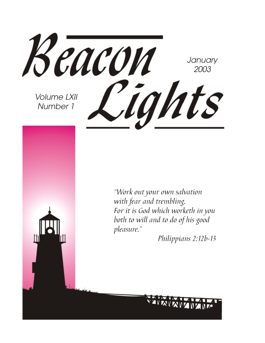Beacon **January** 2003 Cights Volume LXII Number 1

"Work out your own salvation with fear and trembling. For it is God which worketh in you both to will and to do of his good pleasure."

Philippians 2:12b-13

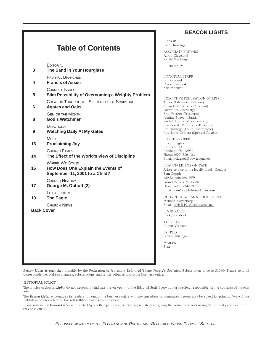#### **BEACON LIGHTS**

### **Table of Contents**

**EDITORIAL 3 The Sand in Your Hourglass** FRUITFUL BRANCHES **4 Francis of Assisi** CURRENT ISSUES **5 Slim Possibility of Overcoming a Weighty Problem** CREATION THROUGH THE SPECTACLES OF SCRIPTURE **6 Agates and Oaks** GEM OF THE MONTH **8 God's Watchmen DEVOTIONAL 9 Watching Daily At My Gates Music 13 Proclaiming Joy** CHURCH FAMILY **14 The Effect of the World's View of Discipline** WHERE WE STAND **16 How Does One Explain the Events of September 11, 2001 to a Child?** CHURCH HISTORY **17 George M. Ophoff (2)** LITTLE LIGHTS **19 The Eagle** CHURCH NEWS **Back Cover**

EDITOR John Huizenga

ASSOCIATE EDITORS Aaron Cleveland Randy Vaalburg

SECRETARY

EDITORIAL STAFF Jeff Kalsbeek David Langerak Kris Moelker

EXECUTIVE FEDERATION BOARD Trevor Kalsbeek (President) Kevin Gritters (Vice-President) Audra Bol (Secretary) Brad Pastoor (Treasurer) Jeanine Boeve (Librarian) Rachel Kuiper (Vice-Secretary) Brad VanderVeen (Vice-Treasurer) Jim Holstege (Youth Coordinator) Rev. Barry Gritters (Spiritual Advisor)

BUSINESS OFFICE Beacon Lights P.O. Box 144 Randolph, WI 53956 Phone: (920) 326-6186 Email: huizenga@powercom.net

BEACON LIGHTS ON TAPE A free service to the legally blind. Contact Sam Copple 659 Lincoln Ave. NW Grand Rapids, MI 49504 Phone: (616) 774-4132 Email: SamCopple@email.msn.com

CHURCH NEWS ANNOUNCEMENTS Melinda Bleyenberg Email: dmb41101@hickorytech.net

BOOK SALES Becky Kalsbeek

TYPESETTER Robert Vermeer

PRINTER James Huizinga

MAILER Staff

Beacon Lights is published monthly by the Federation of Protestant Reformed Young People's Societies. Subscription price is \$10.00. Please send all correspondence, address changes, subscriptions, and article submissions to the business office.

#### EDITORIAL POLICY

The articles of Beacon Lights do not necessarily indicate the viewpoint of the Editorial Staff. Every author is solely responsible for the contents of his own article.

The Beacon Lights encourages its readers to contact the business office with any questions or comments. Letters may be edited for printing. We will not publish anonymous letters, but will withhold names upon request.

If any material of Beacon Lights is reprinted by another periodical, we will appreciate your giving the source and forwarding the printed periodical to the business office.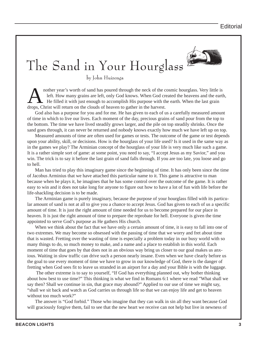# The Sand in Your Hourglass

by John Huizenga

nother year's worth of sand has poured through the neck of the cosmic hourglass. Very little is left. How many grains are left, only God knows. When God created the heavens and the earth, He filled it with just enough to accomplish His purpose with the earth. When the last grain drops, Christ will return on the clouds of heaven to gather in the harvest.

God also has a purpose for you and for me. He has given to each of us a carefully measured amount of time in which to live our lives. Each moment of the day, precious grains of sand pour from the top to the bottom. The time we have lived steadily grows larger, and the pile on top steadily shrinks. Once the sand goes through, it can never be returned and nobody knows exactly how much we have left up on top.

Measured amounts of time are often used for games or tests. The outcome of the game or test depends upon your ability, skill, or decisions. How is the hourglass of your life used? Is it used in the same way as in the games we play? The Arminian concept of the hourglass of your life is very much like such a game. It is a rather simple sort of game: at some point, you need to say, "I accept Jesus as my Savior," and you win. The trick is to say it before the last grain of sand falls through. If you are too late, you loose and go to hell.

Man has tried to play this imaginary game since the beginning of time. It has only been since the time of Jacobus Arminius that we have attached this particular name to it. This game is attractive to man because when he plays it, he imagines that he has some control over the outcome of the game. It is rather easy to win and it does not take long for anyone to figure out how to have a lot of fun with life before the life-shackling decision is to be made.

The Arminian game is purely imaginary, because the purpose of your hourglass filled with its particular amount of sand is not at all to give you a chance to accept Jesus. God has given to each of us a specific amount of time. It is just the right amount of time needed for us to become prepared for our place in heaven. It is just the right amount of time to prepare the reprobate for hell. Everyone is given the time appointed to serve God's purpose as He gathers His church.

When we think about the fact that we have only a certain amount of time, it is easy to fall into one of two extremes. We may become so obsessed with the passing of time that we worry and fret about time that is wasted. Fretting over the wasting of time is especially a problem today in our busy world with so many things to do, so much money to make, and a name and a place to establish in this world. Each moment of time that goes by that does not in an obvious way bring us closer to our goal makes us anxious. Waiting in slow traffic can drive such a person nearly insane. Even when we have clearly before us the goal to use every moment of time we have to grow in our knowledge of God, there is the danger of fretting when God sees fit to leave us stranded in an airport for a day and your Bible is with the luggage.

 The other extreme is to say to yourself, "If God has everything planned out, why bother thinking about how best to use time?" This thinking is what we find in Romans 6:1 where we read "What shall we say then? Shall we continue in sin, that grace may abound?" Applied to our use of time we might say, "shall we sit back and watch as God carries us through life so that we can enjoy life and get to heaven without too much work?"

The answer is "God forbid." Those who imagine that they can walk in sin all they want because God will graciously forgive them, fail to see that the new heart we receive can not help but live in newness of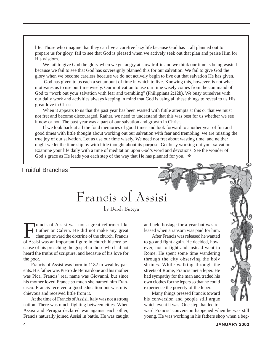life. Those who imagine that they can live a carefree lazy life because God has it all planned out to prepare us for glory, fail to see that God is pleased when we actively seek out that plan and praise Him for His wisdom.

We fail to give God the glory when we get angry at slow traffic and we think our time is being wasted because we fail to see that God has sovereignly planned this for our salvation. We fail to give God the glory when we become careless because we do not actively begin to live out that salvation He has given.

 God has given to us each a set amount of time in which to live. Knowing this, however, is not what motivates us to use our time wisely. Our motivation to use our time wisely comes from the command of God to "work out your salvation with fear and trembling" (Philippians 2:12b). We busy ourselves with our daily work and activities always keeping in mind that God is using all these things to reveal to us His great love in Christ.

When it appears to us that the past year has been wasted with futile attempts at this or that we must not fret and become discouraged. Rather, we need to understand that this was best for us whether we see it now or not. The past year was a part of our salvation and growth in Christ.

If we look back at all the fond memories of good times and look forward to another year of fun and good times with little thought about working out our salvation with fear and trembling, we are missing the true joy of our salvation. Let us use our time wisely. We need not fret about wasting time, and neither ought we let the time slip by with little thought about its purpose. Get busy working out your salvation. Examine your life daily with a time of meditation upon God's word and devotions. See the wonder of God's grace as He leads you each step of the way that He has planned for you. ❖

### Fruitful Branches

Francis of Assisi

by Derek Buteyn

Francis of Assisi was not a great reformer like<br>Luther or Calvin. He did not make any great<br>changes toward the doctrine of the church. Francis<br>of Assisi was an important figure in church history be-Luther or Calvin. He did not make any great changes toward the doctrine of the church. Francis of Assisi was an important figure in church history because of his preaching the gospel to those who had not heard the truths of scripture, and becasue of his love for the poor.

Francis of Assisi was born in 1182 to wealthy parents. His father was Pietro de Bernardone and his mother was Pica. Francis' real name was Giovanni, but since his mother loved France so much she named him Francisco. Francis received a good education but was mischievous and received little from it.

At the time of Francis of Assisi, Italy was not a strong nation. There was much fighting between cities. When Assisi and Perugia declared war against each other, Francis naturally joined Assisi in battle. He was caught and held hostage for a year but was released when a ransom was paid for him.

After Francis was released he wanted to go and fight again. He decided, however, not to fight and instead went to Rome. He spent some time wandering through the city observing the holy shrines. While walking through the streets of Rome, Francis met a leper. He had sympathy for the man and traded his own clothes for the lepers so that he could experience the poverty of the leper.

Many things pressed Francis toward his conversion and people still argue which event it was. One step that led to-

ward Francis' conversion happened when he was still young. He was working in his fathers shop when a beg-

Story Time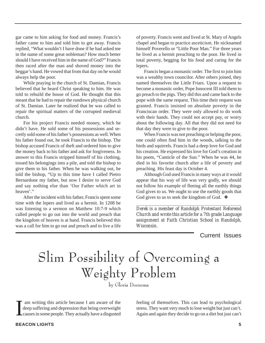gar came to him asking for food and money. Francis's father came to him and told him to get away. Francis replied, "What wouldn't I have done if he had asked me in the name of some great nobleman? How much better should I have received him in the name of God?" Francis then raced after the man and shoved money into the beggar's hand. He vowed that from that day on he would always help the poor.

While praying in the church of St. Damian, Francis believed that he heard Christ speaking to him. He was told to rebuild the house of God. He thought that this meant that he had to repair the rundown physical church of St. Damian. Later he realized that he was called to repair the spiritual matters of the corrupted medieval church.

For his project Francis needed money, which he didn't have. He sold some of his possessions and secretly sold some of his father's possessions as well. When his father found out, he took Francis to the bishop. The bishop accused Francis of theft and ordered him to give the money back to his father and ask for forgiveness. In answer to this Francis stripped himself of his clothing, tossed his belongings into a pile, and told the bishop to give them to his father. When he was walking out, he told the bishop, "Up to this time have I called Pietro Bernardone my father, but now I desire to serve God and say nothing else than 'Our Father which art in heaven'."

After the incident with his father, Francis spent some time with the lepers and lived as a hermit. In 1208 he was listening to a sermon on Matthew 10:7-9 which called people to go out into the world and preach that the kingdom of heaven is at hand. Francis believed this was a call for him to go out and preach and to live a life

of poverty. Francis went and lived at St. Mary of Angels chapel and began to practice asceticism. He nicknamed himself Poverello or "Little Poor Man." For three years he lived as a hermit preaching to the poor. He lived in total poverty, begging for his food and caring for the lepers.

Francis began a monastic order. The first to join him was a wealthy town councilor. After others joined, they named themselves the Little Friars. Upon a request to become a monastic order, Pope Innocent III told them to go preach to the pigs. They did this and came back to the pope with the same request. This time their request was granted. Francis insisted on absolute poverty in the Franciscan order. They were only allowed to do work with their hands. They could not accept pay, or worry about the following day. All that they did not need for that day they were to give to the poor.

When Francis was not preaching or helping the poor, one could often find him in the woods, talking to the birds and squirrels. Francis had a deep love for God and his creation. He expressed his love for God's creation in his poem, "Canticle of the Sun." When he was 44, he died in his favorite church after a life of poverty and preaching. His feast day is October 4.

Although God used Francis in many ways at it would appear that his way of life was very godly, we should not follow his example of fleeing all the earthly things God gives to us. We ought to use the earthly goods that God gives to us to seek the kingdom of God. ❖

*Derek is a member of Randolph Protestant Reforemd Church and wrote this article for a 7th grade Language assignment at Faith Christian School in Randolph, Wisconsin.*

*\_\_\_\_\_\_\_\_\_\_\_\_\_\_\_\_\_\_\_\_\_\_\_\_\_\_\_\_\_\_\_\_\_\_\_\_\_\_\_\_\_\_\_\_\_\_\_\_\_*

Current Issues

# Slim Possibility of Overcoming a Weighty Problem

by Gloria Doezema

I am writing this article because I am aware of the deep suffering and depression that being overweight causes in some people. They actually have a disgusted

feeling of themselves. This can lead to psychological stress. They want very much to lose weight but just can't. Again and again they decide to go on a diet but just can't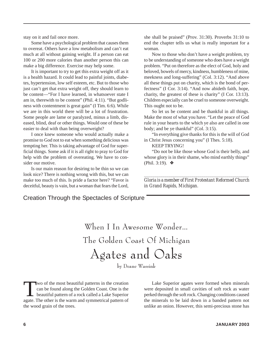stay on it and fail once more.

Some have a psychological problem that causes them to overeat. Others have a low metabolism and can't eat much at all without gaining weight. If a person can eat 100 or 200 more calories than another person this can make a big difference. Exercise may help some.

It is important to try to get this extra weight off as it is a health hazard. It could lead to painful joints, diabetes, hypertension, low self esteem, etc. But to those who just can't get that extra weight off, they should learn to be content—"For I have learned, in whatsoever state I am in, therewith to be content" (Phil. 4:11). "But godliness with contentment is great gain" (I Tim. 6:6). While we are in this world there will be a lot of frustration. Some people are lame or paralyzed, minus a limb, diseased, blind, deaf or other things. Would one of these be easier to deal with than being overweight?

I once knew someone who would actually make a promise to God not to eat when something delicious was tempting her. This is taking advantage of God for superficial things. Some ask if it is all right to pray to God for help with the problem of overeating. We have to consider our motive.

Is our main reason for desiring to be thin so we can look nice? There is nothing wrong with this, but we can make too much of this. Is pride a factor here? "Favor is deceitful, beauty is vain, but a woman that fears the Lord, she shall be praised" (Prov. 31:30). Proverbs 31:10 to end the chapter tells us what is really important for a woman.

Now to those who don't have a weight problem, try to be understanding of someone who does have a weight problem. "Put on therefore as the elect of God, holy and beloved, bowels of mercy, kindness, humbleness of mine, meekness and long-suffering" (Col. 3:12). "And above all these things put on charity, which is the bond of perfectness" (I Cor. 3:14). "And now abideth faith, hope, charity, the greatest of these is charity" (I Cor. 13:13). Children especially can be cruel to someone overweight. This ought not to be.

So let us be content and be thankful in all things. Make the most of what you have. "Let the peace of God rule in your hearts to the which ye also are called in one body; and be ye thankful" (Col. 3:15).

"In everything give thanks for this is the will of God in Christ Jesus concerning you" (I Thes. 5:18).

#### KEEP TRYING!

"Do not be like those whose God is their belly, and whose glory is in their shame, who mind earthly things" (Phil. 3:19). ❖

*\_\_\_\_\_\_\_\_\_\_\_\_\_\_\_\_\_\_\_\_\_\_\_\_\_\_\_\_\_\_\_\_\_\_\_\_\_\_\_\_\_\_\_\_\_\_\_\_\_\_\_ Gloria is a member of First Protestant Reformed Church in Grand Rapids, Michigan.*

### Creation Through the Spectacles of Scripture

| When I In Awesome Wonder     |
|------------------------------|
| The Golden Coast Of Michigan |
| Agates and Oaks              |

by Deane Wassink

Wo of the most beautiful patterns in the creation<br>can be found along the Golden Coast. One is the<br>beautiful pattern of a rock called a Lake Superior<br>agate. The other is the warm and symmetrical pattern of can be found along the Golden Coast. One is the beautiful pattern of a rock called a Lake Superior agate. The other is the warm and symmetrical pattern of the wood grain of the trees.

Lake Superior agates were formed when minerals were deposited in small cavities of soft rock as water perked through the soft rock. Changing conditions caused the minerals to be laid down in a banded pattern not unlike an onion. However, this semi-precious stone has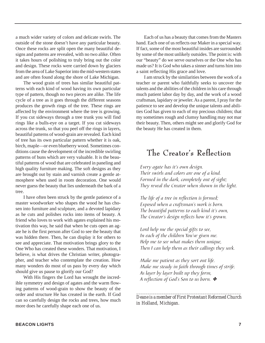a much wider variety of colors and delicate swirls. The outside of the stone doesn't have any particular beauty. Once these rocks are split open the many beautiful designs and patterns are revealed, with no two alike. Often it takes hours of polishing to truly bring out the color and design. These rocks were carried down by glaciers from the area of Lake Superior into the mid-western states and are often found along the shore of Lake Michigan.

The wood grain of trees has similar beautiful patterns with each kind of wood having its own particular type of pattern, though no two pieces are alike. The life cycle of a tree as it goes through the different seasons produces the growth rings of the tree. These rings are affected by the environment where the tree is growing. If you cut sideways through a tree trunk you will find rings like a bulls-eye on a target. If you cut sideways across the trunk, so that you peel off the rings in layers, beautiful patterns of wood-grain are revealed. Each kind of tree has its own particular pattern whether it is oak, birch, maple—or even blueberry wood. Sometimes conditions cause the development of the incredible swirling patterns of buns which are very valuable. It is the beautiful patterns of wood that are celebrated in paneling and high quality furniture making. The soft designs as they are brought out by stain and varnish create a gentle atmosphere when used in room decoration. One would never guess the beauty that lies underneath the bark of a tree.

I have often been struck by the gentle patience of a master woodworker who shapes the wood he has chosen into furniture and sculpture, and a devoted lapidary as he cuts and polishes rocks into items of beauty. A friend who loves to work with agates explained his motivation this way, he said that when he cuts open an agate he is the first person after God to see the beauty that was hidden there. Then, he can display it for others to see and appreciate. That motivation brings glory to the One Who has created these wonders. That motivation, I believe, is what drives the Christian writer, photographer, and teacher who contemplate the creation. How many wonders do most of us pass by every day which should give us pause to glorify our God?

With His fingers the Lord has wrought the incredible symmetry and design of agates and the warm flowing patterns of wood-grain to show the beauty of the order and structure He has created in the earth. If God can so carefully design the rocks and trees, how much more does he carefully shape each one of us.

Each of us has a beauty that comes from the Masters hand. Each one of us reflects our Maker in a special way. If fact, some of the most beautiful insides are surrounded by some of the most unlikely outsides. The point is: with our "beauty" do we serve ourselves or the One who has made us? It is God who takes a sinner and turns him into a saint reflecting His grace and love.

I am struck by the similarities between the work of a teacher or parent who faithfully seeks to uncover the talents and the abilities of the children in his care through much patient labor day by day, and the work of a wood craftsman, lapidary or jeweler. As a parent, I pray for the patience to see and develop the unique talents and abilities God has given to each of my precious children; that my sometimes rough and clumsy handling may not mar their beauty. Then, others might see and glorify God for the beauty He has created in them.

### The Creator's Reflection

Every agate has it's own design. Their swirls and colors are one of a kind. Formed in the dark, completely out of sight; They reveal the Creator when shown in the light.

The life of a tree in reflection is formed; Exposed when a craftsman's work is born. The beautiful patterns to each kind it's own, The Creator's design reflects how it's grown.

Lord help me the special gifts to see, In each of the children You've given me. Help me to see what makes them unique, Then I can help them as their callings they seek.

Make me patient as they sort out life. Make me steady in faith through times of strife. As layer by layer built up they form, A reflection of God's Son to us born. ❖

*\_\_\_\_\_\_\_\_\_\_\_\_\_\_\_\_\_\_\_\_\_\_\_\_\_\_\_\_\_\_\_\_\_\_\_\_\_\_\_\_\_\_\_\_\_\_ Deane is a member of First Protestant Reformed Church in Holland, Michigan.*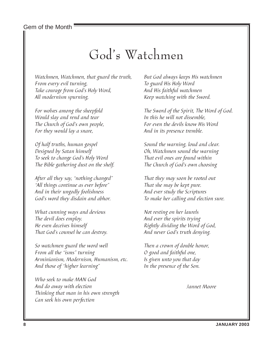Gem of the Month

### God's Watchmen

Watchmen, Watchmen, that guard the truth, From every evil turning, Take courage from God's Holy Word, All modernism spurning,

For wolves among the sheepfold Would slay and rend and tear The Church of God's own people, For they would lay a snare,

Of half truths, human gospel Designed by Satan himself To seek to change God's Holy Word The Bible gathering dust on the shelf.

After all they say, "nothing changed" "All things continue as ever before" And in their ungodly foolishness God's word they disdain and abhor.

What cunning ways and devious The devil does employ. He even deceives himself That God's counsel he can destroy.

So watchmen guard the word well From all the "isms" turning Arminianism, Modernism, Humanism, etc. And those of "higher learning"

Who seek to make MAN God And do away with election Thinking that man in his own strength Can seek his own perfection

But God always keeps His watchmen To guard His Holy Word And His faithful watchmen Keep watching with the Sword.

The Sword of the Spirit, The Word of God. In this he will not dissemble, For even the devils know His Word And in its presence tremble.

Sound the warning, loud and clear. Oh, Watchmen sound the warning That evil ones are found within The Church of God's own choosing

That they may soon be rooted out That she may be kept pure. And ever study the Scriptures To make her calling and election sure.

Not resting on her laurels And ever the spirits trying Rightly dividing the Word of God, And never God's truth denying.

Then a crown of double honor, O good and faithful one, Is given unto you that day In the presence of the Son.

Jannet Moore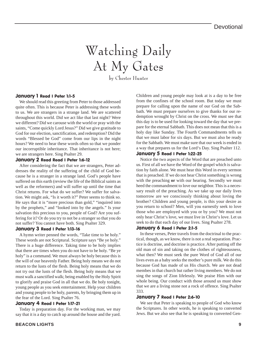# Watching Daily At My Gates

by Chester Hunter

#### January 1 Read I Peter 1:1-5

We should read this greeting from Peter to those addressed quite often. This is because Peter is addressing these words to us. We are strangers in a strange land. We are scattered throughout this world. Did we act like that last night? Were we different? Did we carouse with the world or pray with the saints, "Come quickly Lord Jesus?" Did we give gratitude to God for our election, sanctification, and redemption? Did the words "Blessed be God" come from our lips in the night hours? We need to hear these words often so that we ponder our incorruptible inheritance. That inheritance is not here; we are strangers here. Sing Psalter 29.

#### January 2 Read Read I Peter 1:6-12

After considering the fact that we are strangers, Peter addresses the reality of the suffering of the child of God because he is a stranger in a strange land. God's people have suffered on this earth (review the life of the Biblical saints as well as the reformers) and will suffer up until the time that Christ returns. For what do we suffer? We suffer for salvation. We might ask, "Is it worth it?" Peter seems to think so. He says that it is "more precious than gold," "inquired into by the prophets," and "looked into by the angels." Is your salvation this precious to you, people of God? Are you suffering for it? Or do you try to not be a stranger so that you do not suffer? You cannot have both. Sing Psalter 329.

#### January 3 Read I Peter 1:13-16

A hymn writer penned the words, "Take time to be holy." These words are not Scriptural. Scripture says "Be ye holy." There is a huge difference. Taking time to be holy implies that there are times when you do not have to be holy. "Be ye holy" is a command. We must always be holy because this is the will of our heavenly Father. Being holy means we do not return to the lusts of the flesh. Being holy means that we do not try out the lusts of the flesh. Being holy means that we must walk a sanctified walk; being enabled by the Holy Spirit to glorify and praise God in all that we do. Be holy tonight, young people as you seek entertainment. Help your children and young people to be holy, parents, by bringing them up in the fear of the Lord. Sing Psalter 76.

#### January 4 Read I Peter 1:17-21

Today is preparation day. For the working man, we may say that it is a day to catch up around the house and the yard. Children and young people may look at is a day to be free from the confines of the school room. But today we must prepare for calling upon the name of our God on the Sabbath. We must prepare ourselves to give thanks for our redemption wrought by Christ on the cross. We must see that this day is to be used for looking toward the day that we prepare for the eternal Sabbath. This does not mean that this is a holy day like Sunday. The Fourth Commandments tells us that we must labor for six days. But we must also be ready for the Sabbath. We must make sure that our week is ended in a way that prepares us for the Lord's Day. Sing Psalter 112.

#### January 5 Read I Peter 1:22-25

Notice the two aspects of the Word that are preached unto us. First of all we have the Word of the gospel which is salvation by faith alone. We must hear this Word in every sermon that is preached. If we do not hear Christ something is wrong with the preaching **or** with our hearing. Secondly we must heed the commandment to love our neighbor. This is a necessary result of the preaching. As we take up our daily lives tomorrow are we consciously thinking about loving the brother? Children and young people, is this your desire as you return to school? Men, will you earnestly seek to love those who are employed with you or by you? We must not only hear Christ's love, we must live in Christ's love. Let us seek to do that each day of our lives. Sing Psalter 278.

#### January 6 Read I Peter 2:1-5

In these verses, Peter travels from the doctrinal to the practical, though, as we know, there is not a real separation. Practice is doctrine, and doctrine is practice. After putting off the old man of sin and taking on the clothes of righteousness, what then? We must seek the pure Word of God all of our lives even as a baby seeks the mother's pure milk. We do this because God has made of us His church. We are not dead membes in that church but rather living members. We do not sing the songs of Zion lifelessly. We praise Him with our whole being. Our conduct with those around us must show that we are a living stone not a rock of offence. Sing Psalter 333.

#### January 7 Read I Peter 2:6-10

We see that Peter is speaking to people of God who know the Scriptures. In other words, he is speaking to converted Jews. But we also see that he is speaking to converted Gen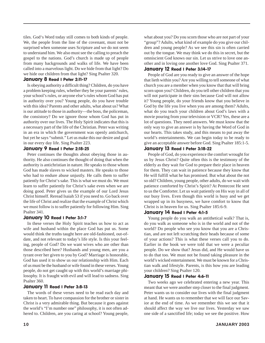tiles. God's Word today still comes to both kinds of people. We, the people from the line of the covenant, must not be surprised when someone uses Scripture and we do not seem to understand him. We also must see the calling to preach the gospel to the nations. God's church is made up of people from many backgrounds and walks of life. We have been called into a marvelous light. Do we hide from that light? Do we hide our children from that light? Sing Psalter 320.

#### January 8 Read I Peter 2:11-17

Is obeying authority a difficult thing? Children, do you have a problem keeping rules, whether they be your parents' rules, your school's rules, or anyone else's rules whom God has put in authority over you? Young people, do you have trouble with this idea? Parents and other adults, what about us? What is our attitude to those in authority—the boss, the policeman, the consistory? Do we ignore those whom God has put in authority over our lives. The Holy Spirit indicates that this is a necessary part of the life of the Christian. Peter was writing in an era in which the government was openly antichurch, but yet he says "submit." Let us make this our desire and goal in our every day life. Sing Psalter 223.

#### January 9 Read I Peter 2:18-25

Peter continues the thoughts about obeying those in authority. He also continues the thought of doing that when the authority is antichristian in nature. He speaks to those whom God has made slaves to wicked masters. He speaks to those who had to endure abuse unjustly. He calls them to suffer patiently for Christ's sake. This is what we must do. We must learn to suffer patiently for Christ's sake even when we are doing good. Peter gives us the example of our Lord Jesus Christ himself. Reread Isaiah 53 if you need to. Go back over the life of Christ and realize that the example of Christ which we must follow is to suffer patiently for following Him. Sing Psalter 341.

#### January 10 Read I Peter 3:1-7

In these verses the Holy Spirit teaches us how to act as wife and husband within the place God has put us. Some would think the truths taught here are old-fashioned, out-ofdate, and not relevant to today's life style. Is this your feeling, people of God? Do we want wives who are other than those described here? Husbands and young men, are you a tyrant over her given to you by God? Marriage is honorable, God has used it to show us our relationship with Him. Each of us must be the husband or wife found in these verses. Young people, do not get caught up with this world's marriage philosophy. It is fraught with evil and will lead to sadness. Sing Psalter 360.

#### January 11 Read I Peter 3:8-13

The words of these verses need to be read each day and taken to heart. To have compassion for the brother or sister in Christ is a very admirable thing. But because it goes against the world's "I'm number one" philosophy, it is not often adhered to. Children, are you caring at school? Young people,

what about you? Do you scorn those who are not part of your "group"? Adults, what kind of example do you give our children and young people? As we see this sin is often carried out by the tongue. We may think we do this in secret, but the omniscient God knows our sin. Let us strive to love one another and in loving one another love God. Sing Psalter 371.

#### January 12 Read I Peter 3:14-17

People of God are you ready to give an answer of the hope that lieth within you? Are you willing to tell someone of what church you are a member when you know that that will bring scorn upon you? Children, do you tell other children that you will not participate in their sins because God will not allow it? Young people, do your friends know that you believe in God by the life you live when you are among them? Adults, what do you teach your children about God's laws with a movie pouring from your television or VCR? Yes, these are a lot of questions. They need answers. We must know that the only way to give an answer is by having the Word of God in our hearts. This takes study, and this means to put away the world's entertainments. We can begin today to be ready to give an acceptable answer before God. Sing Psalter 185:1-5.

#### January 13 Read I Peter 3:18-22

People of God, do you experience the comfort wrought for us by Jesus Christ? Quite often this is the testimony of the elderly as they wait for God to prepare their place in heaven for them. They can wait in patience because they know that He will fulfill what he has promised. But what about the not so old? Children, young people, other adults, do we wait with patience comforted by Christ's Spirit? At Pentecost He sent to us the Comforter. Let us wait patiently on His way in all of our busy lives. Even though this world is busy and we get wrapped up in its busyness, we have comfort to know that Christ is in heaven for us. Sing Psalter 185:6-9.

#### January 14 Read I Peter 4:1-5

Young people do you walk an antithetical walk? That is, do you walk as someone who is in the world and not of the world? Do people who see you know that you are a Christian, and are not left scratching their heads because of some of your actions? This is what these verses call you to do. Earlier in the book we were told that we were a peculiar people. Do we show that? Jesus did, and He would have us to do that too. We must not be found taking pleasure in the world's wicked entertainment. We must be known for a Christian walk and lifestyle. Parents, is this how you are leading your children? Sing Psalter 120.

#### January 15 Read I Peter 4:6-11

Two weeks ago we celebrated entering a new year. This meant that we were another step closer to the final judgment. Peter wants us to consider our lives with the final judgment at hand. He wants us to remember that we will face our Savior at the end of time. As we remember this we see that it should affect the way we live our lives. Yesterday we saw one side of a sanctified life; today we see the positive. How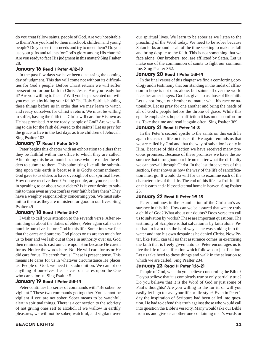do you treat fellow saints, people of God. Are you hospitable to them? Are you kind to them in school, children and young people? Do you see their needs and try to meet them? Do you use your gifts and talents for God's glory among His church? Are you ready to face His judgment in this matter? Sing Psalter 28.

#### January 16 Read I Peter 4:12-19

In the past few days we have been discussing the coming day of judgment. This day will come not without its difficulties for God's people. Before Christ returns we will suffer persecution for our faith in Christ Jesus. Are you ready for it? Are you willing to face it? Will you be persecuted our will you escape it by hiding your faith? The Holy Spirit is holding these things before us in order that we may learn to watch and ready ourselves for Christ's return. We must be willing to suffer, having the faith that Christ will care for His own as He has promised. Are we ready, people of God? Are we willing to die for the faith delivered to the saints? Let us pray for the grace to live in the last days as true children of Jehovah. Sing Psalter 103.

#### January 17 Read I Peter 5:1-5

Peter begins this chapter with an exhortation to elders that they be faithful within the office to which they are called. After doing this he admonishes those who are under the elders to submit to them. This submitting like all the submitting upon this earth is because it is God's commandment. God gave to us elders to have oversight of our spiritual lives. How do we receive them? Young people, are you respectful in speaking to or about your elders? Is it your desire to submit to them even as you confess your faith before them? They have a weighty responsibility concerning you. We must submit to them as they are ministers for good in our lives. Sing Psalter 49.

#### January 18 Read I Peter 5:1-7

I wish to call your attention to the seventh verse. After reminding us about the duties of elders, Peter again calls us to humble ourselves before God in this life. Sometimes we feel that the cares and burdens God places on us are too much for us to bear and we lash out at those in authority over us. God then reminds us to cast our care upon Him because He careth for us. Notice the words here. Not He will care for us or He did care for us. He careth for us! These is present tense. This means He cares for us in whatever circumstance He places us. People of God, we need this admonition. We cannot do anything of ourselves. Let us cast our cares upon the One who cares for us. Sing Psalter 5.

#### January 19 Read I Peter 5:8-14

Peter continues his series of commands with "Be sober, be vigilant." These two commands go together. You cannot be vigilant if you are not sober. Sober means to be watchful, alert in spiritual things. There is a connection to the sobriety of not giving ones self to alcohol. If we wallow in earthly pleasures, we will not be sober, watchful, and vigilant over our spiritual lives. We learn to be sober as we listen to the preaching of the Word today. We need to be sober because Satan lurks around us all of the time seeking to make us fall and bring despite to the faith. This is not something that we face alone. Our brothers, too, are afflicted by Satan. Let us make use of the communion of saints to fight our common foe. Sing Psalter 362.

#### January 20 Read I Peter 5:8-14

In the final verses of this chapter we find a comforting doxology and a testimony that our standing in the midst of affliction in hope is not ours alone, but saints all over the world face the same dangers. God has given to us those of like faith. Let us not forget our brother no matter what his race or nationality. Let us pray for one another and bring the needs of all of God's people before the throne of grace. While this epistle emphasizes hope in affliction it has much comfort for us. Take the time and read it again often. Sing Psalter 369.

#### January 21 Read II Peter 1:1-8

In the Peter's second epistle to the saints on this earth he again focuses on life on this earth. He again reminds us that we are called by God and that the way of salvation is only in Him. Because of this election we have received many precious promises. Because of these promises we have the assurance that throughout our life no matter what the difficulty we can prevail through Christ. In the last three verses of this section, Peter shows us how the way of the life of sanctification must go. It would do will for us to examine each of the characteristics of this life. The end of this life is a fruitful life on this earth and a blessed eternal home in heaven. Sing Psalter 25.

#### January 22 Read II Peter 1:9-15

Peter continues in the examination of the Christian's assurance in this life. How can we be assured that we are truly a child of God? What about our doubts? Does verse ten call us to salvation by works? These are important questions. The testimony of Scripture is that salvation is by faith alone. Peter had to learn this the hard way as he was sinking into the water and into his own despair as he denied Christ. Now Peter, like Paul, can tell us that assurance comes in exercising the faith that is freely given unto us. Peter encourages us to live the life of sanctification which follows our justification. Let us take heed to these things and walk in the salvation to which we are called. Sing Psalter 234.

#### January 23 Read II Peter 1:16-21

People of God, what do you believe concerning the Bible? Do you believe that it is completely true or only partially true? Do you believe that it is the Word of God or just some of Paul's thoughts? Are you willing to die for it, or will you easily let it go to save your life or life style? Even in Peter's day the inspiration of Scripture had been called into question. He had to defend this truth against those who would call into question the Bible's veracity. Many would take our Bible from us and give us another one containing man's words or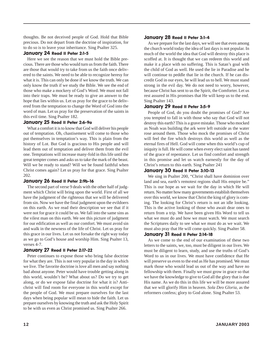thoughts. Be not deceived people of God. Hold that Bible precious. Do not depart from the doctrine of inspiration, for to do so is to leave your inheritance. Sing Psalter 325.

#### January 24 Read II Peter 2:1-5

Here we see the reason that we must hold the Bible precious. There are those who would turn us from the faith. There are those that would try to take from us the faith once delivered to the saints. We need to be able to recognize heresy for what it is. This can only be done if we know the truth. We can only know the truth if we study the Bible. We see the end of those who make a mockery of God's Word. We must not fall into their traps. We must be ready to give an answer to the hope that lies within us. Let us pray for the grace to be delivered from the temptation to change the Word of God into the word of man. Let us pray for the preservation of the saints in this evil time. Sing Psalter 182.

#### January 25 Read II Peter 2:6-9a

What a comfort it is to know that God will deliver his people out of temptation. Oh, chastisement will come to those who put themselves in temptation's way. This is plain from the history of Lot. But God is gracious to His people and will lead them out of temptation and deliver them from the evil one. Temptations will increase many-fold in this life until the great tempter comes and asks us to take the mark of the beast. Will we be ready to stand? Will we be found faithful when Christ comes again? Let us pray for that grace. Sing Psalter 202.

#### January 26 Read II Peter 2:9b-16

The second part of verse 9 deals with the other half of judgment which Christ will bring upon the world. First of all we have the judgment of the righteous that we will be delivered from sin. Now we have the final judgment upon the evildoers on this earth. As we read their description we see that if it were not for grace it could be us. We fall into the same sins as the vilest man on this earth. We see this picture of judgment for our edification as well as our comfort. We must avoid sin and walk in the newness of the life of Christ. Let us pray for this grace in our lives. Let us not forsake the right way today as we go to God's house and worship Him. Sing Psalter 13, verses 4-7.

#### January 27 Read II Peter 2:17-22

Peter continues to expose those who bring false doctrine for what they are. This is not very popular in the day in which we live. The favorite doctrine is love all men and say nothing bad about anyone. Peter would have trouble getting along in this world, wouldn't he? What about us? Do we try to get along, or do we expose false doctrine for what it is? Antichrist will find room for everyone in this world except for the people of God. We must prepare ourselves for the last days when being popular will mean to hide the faith. Let us prepare ourselves by knowing the truth and ask the Holy Spirit to be with us even as Christ promised us. Sing Psalter 266.

#### January 28 Read II Peter 3:1-4

As we prepare for the last days, we will see that even among the church world today the idea of last days is not popular. In much of the world the idea that God will destroy this place is scoffed at. It is thought that we can redeem this world and make it a place with no suffering. This is Satan's goal with the child of God as well. He used the lie in Paradise and he will continue to peddle that lie in the church. If he can discredit God in our eyes, he will lead us to hell. We must stand strong in the evil day. We do not need to worry, however, because Christ has sent to us the Spirit, the Comforter. Let us rest assured in His promises that He will keep us to the end. Sing Psalter 143.

#### January 29 Read II Peter 3:5-9

People of God, do you doubt the promises of God? Are you tempted to fall in with those who say that God will not destroy this earth? This is a grave mistake. Those who mocked as Noah was building the ark were left outside as the water rose around them. Those who mock the promises of Christ will feel the fire which destroys this world as well as the eternal fires of Hell. God will come when this world's cup of iniquity is full. He will come when every elect saint has tasted of the grace of repentance. Let us find comfort and strength in this promise and let us watch earnestly for the day of Christ's return to this earth. Sing Psalter 241

#### January 30 Read II Peter 3:10-13

We sing in Psalter 200, "Christ shall have dominion over land and sea, earth's remotest regions shall His empire be." This is our hope as we wait for the day in which He will return. No matter how many governments establish themselves over this world, we know that Christ the king of glory is coming. The looking for Christ's return is not an idle looking. This is the active looking of those who await dear ones to return from a trip. We have been given His Word to tell us what we must do and how we must watch. We must search the Scriptures daily to see what we must do as we wait. We must also pray that He will come quickly. Sing Psalter 58.

#### January 31 Read II Peter 2:14-18

As we come to the end of our examination of these two letters to the saints, we, too, must be diligent in our lives. We must be diligent to learn, study, and use the truths of God's Word to us in our lives. We must have confidence that He will preserve us even to the end as He has promised. We must mark those who would lead us out of the way and have no fellowship with them. Finally we must grow in grace so that we have the knowledge to give to God all the glory that is due His name. As we do this in this life we will be more assured that we will glorify Him in heaven. *Sola Deo Gloria,* as the reformers confess; glory to God alone. Sing Psalter 53.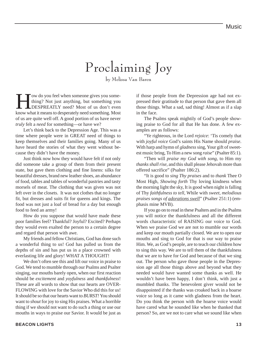## Proclaiming Joy

by Melissa Van Baren

Tow do you feel when someone gives you some-<br>thing? Not just anything, but something you<br>DESPREATLY need? Most of us don't even thing? Not just anything, but something you DESPREATLY need? Most of us don't even know what it means to desperately need something. Most of us are quite well off. A good portion of us have never *truly* felt a *need* for something—or have we?

Let's think back to the Depression Age. This was a time where people were in GREAT need of things to keep themselves and their families going. Many of us have heard the stories of what they went without because they didn't have the money.

Just think now how they would have felt if not only did someone take a group of them from their present state, but gave them clothing and fine linens: silks for beautiful dresses, brand new leather shoes, an abundance of food, tables and tables of wonderful pastries and tasty morsels of meat. The clothing that was given was not left over in the closets. It was not clothes that no longer fit, but dresses and suits fit for queens and kings. The food was not just a loaf of bread for a day but enough food to feed an army!

How do you suppose that would have made these poor families feel? Thankful? Joyful? Excited? Perhaps they would even exalted the person to a certain degree and regard that person with awe.

My friends and fellow Christians, God has done such a wonderful thing to us! God has pulled us from the depths of sin and has put us in a place crowned with everlasting life and glory! WHAT A THOUGHT!

We don't often see this and lift our voice in praise to God. We tend to mumble through our Psalms and Psalter singing, our mouths barely open, when our first reaction should be *excitement* and *yoyfulness* and *thankfulness*! These are all words to show that our hearts are OVER-FLOWING with love for the Savior Who did this for us! It should be so that our hearts want to *BURST!* You should want to *shout* for joy to sing His praises. What a horrible thing if we should not want to do such a thing or use our mouths in ways to praise our Savior. It would be just as

if those people from the Depression age had not expressed their gratitude to that person that gave them all those things. What a sad, sad thing! Almost as if a slap in the face.

The Psalms speak mightily of God's people showing praise to God for all that He has done. A few examples are as follows:

"Ye righteous, in the Lord *rejoice*: 'Tis comely that with *joyful voice* God's saints His Name should *praise*. With harp and hymn of *gladness* sing, Your gift of sweetest music bring, To Him a new song *raise*" (Psalter 85:1).

"Then will *praise my God with song*, to Him my *thanks shall rise*, and this shall please Jehovah more than offered sacrifice" (Psalter 186:2).

"It is good to *sing Thy praises* and to *thank* Thee O Most High, *Showing forth* Thy loving kindness when the morning light the sky, It is good when night is falling of Thy *faithfulness to tell*, While with *sweet, melodious praises songs of adorations swell*" (Psalter 251:1) (emphasis mine MVB).

If you go on to read in these Psalters and in the Psalms you will notice the thankfulness and all the different words characteristic of RAISING our voice to God. When we praise God we are not to mumble our words and keep our mouth partially closed. We are to open our mouths and sing to God for that is our way to praise Him. We, as God's people, are to teach our children how to sing this way. We are to tell them of the thankfulness that we are to have for God and because of that we sing out. The person who gave those people in the Depression age all those things above and beyond what they needed would have wanted some thanks as well. He wouldn't have been happy, I don't think, with just a mumbled thanks. The benevolent giver would not be disappointed if the thanks was croaked back in a hoarse voice so long as it came with gladness from the heart. Do you think the person with the hoarse voice would have cared what he sounded like when he thanked that person? So, are we not to care what we sound like when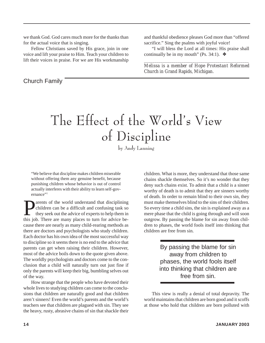we thank God. God cares much more for the thanks than for the actual voice that is singing.

Fellow Christians saved by His grace, join in one voice and lift your praise to Him. Teach your children to lift their voices in praise. For we are His workmanship

Church Family

and thankful obedience pleases God more than "offered sacrifice." Sing the psalms with joyful voice!

"I will bless the Lord at all times: His praise shall continually be in my mouth" (Ps. 34:1).  $\triangleleft$ 

*\_\_\_\_\_\_\_\_\_\_\_\_\_\_\_\_\_\_\_\_\_\_\_\_\_\_\_\_\_\_\_\_\_\_\_\_\_\_\_\_\_\_\_\_\_\_\_\_\_\_ Melissa is a member of Hope Protestant Reformed Church in Grand Rapids, Michigan.*

# The Effect of the World's View of Discipline

by Andy Lanning

"We believe that discipline makes children miserable without offering them any genuine benefit, because punishing children whose behavior is out of control actually interferes with their ability to learn self-governance"<sup>1</sup>

arents of the world understand that disciplining children can be a difficult and confusing task so they seek out the advice of experts to help them in this job. There are many places to turn for advice because there are nearly as many child-rearing methods as there are doctors and psychologists who study children. Each doctor has his own idea of the most successful way to discipline so it seems there is no end to the advice that parents can get when raising their children. However, most of the advice boils down to the quote given above. The worldly psychologists and doctors come to the conclusion that a child will naturally turn out just fine if only the parents will keep their big, bumbling selves out of the way.

How strange that the people who have devoted their whole lives to studying children can come to the conclusions that children are naturally good and that children aren't sinners! Even the world's parents and the world's teachers see that children are plagued with sin. They see the heavy, rusty, abrasive chains of sin that shackle their

children. What is more, they understand that those same chains shackle themselves. So it's no wonder that they deny such chains exist. To admit that a child is a sinner worthy of death is to admit that they are sinners worthy of death. In order to remain blind to their own sin, they must make themselves blind to the sins of their children. So every time a child sins, the sin is explained away as a mere phase that the child is going through and will soon outgrow. By passing the blame for sin away from children to phases, the world fools itself into thinking that children are free from sin.

> By passing the blame for sin away from children to phases, the world fools itself into thinking that children are free from sin.

This view is really a denial of total depravity. The world maintains that children are born good and it scoffs at those who hold that children are born polluted with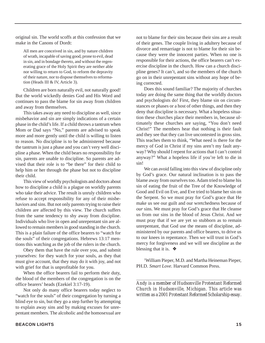original sin. The world scoffs at this confession that we make in the Canons of Dordt:

All men are conceived in sin, and by nature children of wrath, incapable of saving good, prone to evil, dead in sin, and in bondage thereto, and without the regenerating grace of the Holy Spirit they are neither able nor willing to return to God, to reform the depravity of their nature, nor to dispose themselves to reformation (Heads III & IV, Article 3).

Children are born naturally evil, not naturally good! But the world wickedly denies God and His Word and continues to pass the blame for sin away from children and away from themselves.

This takes away any need to discipline as well, since misbehavior and sin are simply indications of a certain phase in the child's life. If a child throws a tantrum when Mom or Dad says "No," parents are advised to speak more and more gently until the child is willing to listen to reason. No discipline is to be administered because the tantrum is just a phase and you can't very well discipline a phase. When the child bears no responsibility for sin, parents are unable to discipline. So parents are advised that their role is to "be there" for their child to help him or her through the phase but not to discipline their child.

This view of worldly psychologists and doctors about how to discipline a child is a plague on worldly parents who take their advice. The result is unruly children who refuse to accept responsibility for any of their misbehaviors and sins. But not only parents trying to raise their children are affected by this view. The church suffers from the same tendency to shy away from discipline. Individuals who live in open and unrepentant sin are allowed to remain members in good standing in the church. This is a plain failure of the office bearers to "watch for the souls" of their congregations. Hebrews 13:17 mentions this watching as the job of the rulers in the church.

Obey them that have the rule over you, and submit yourselves: for they watch for your souls, as they that must give account, that they may do it with joy, and not with grief for that is unprofitable for you.

When the office bearers fail to perform their duty, the blood of the members of the congregation is on the office bearers' heads (Ezekiel 3:17-19).

Not only do many office bearers today neglect to "watch for the souls" of their congregation by turning a blind eye to sin, but they go a step further by attempting to explain away sins and by making excuses for unrepentant members. The alcoholic and the homosexual are

not to blame for their sins because their sins are a result of their genes. The couple living in adultery because of divorce and remarriage is not to blame for their sin because they were the innocent parties. When no one is responsible for their actions, the office bearers can't exercise discipline in the church. How can a church discipline genes? It can't, and so the members of the church go on in their unrepentant sins without any hope of being corrected.

Does this sound familiar? The majority of churches today are doing the same thing that the worldly doctors and psychologists do! First, they blame sin on circumstances or phases or a host of other things, and then they deny that discipline is necessary. What a hopeless situation these churches place their members in, because ultimately these churches are saying, "You don't need Christ!" The members hear that nothing is their fault and they see that they can live uncontested in gross sins. This teaches them to think, "What need is there for the mercy of God in Christ if my sins aren't my fault anyway? Why should I repent for actions that I can't control anyway?" What a hopeless life if you're left to die in sin!

We can avoid falling into this view of discipline only by God's grace. Our natural inclination is to pass the blame away from ourselves too. Adam tried to blame his sin of eating the fruit of the Tree of the Knowledge of Good and Evil on Eve, and Eve tried to blame her sin on the Serpent. So we must pray for God's grace that He make us see our guilt and our wretchedness because of *our* sins. We must pray for God's grace that He cleanse us from our sins in the blood of Jesus Christ. And we must pray that if we are yet so stubborn as to remain unrepentant, that God use the means of discipline, administered by our parents and office bearers, to drive us to our knees in repentance. Then we will trust in God's mercy for forgiveness and we will see discipline as the blessing that it is.  $\triangleleft$ 

1 William Pieper, M.D. and Martha Heineman Pieper, PH.D. *Smart Love*. Harvard Common Press.

*\_\_\_\_\_\_\_\_\_\_\_\_\_\_\_\_\_\_\_\_\_\_\_\_\_\_\_\_\_\_\_\_\_\_\_\_\_\_\_\_\_\_\_\_\_\_\_\_\_\_\_\_\_\_\_\_\_\_\_ Andy is a member of Hudsonville Protestant Reformed Church in Hudsonville, Michigan. This article was written as a 2001 Protestant Reformed Scholarship essay.*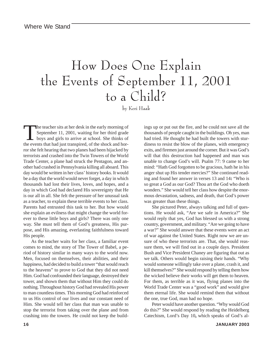## How Does One Explain the Events of September 11, 2001 to a Child?

by Keri Haak

The teacher sits at her desk in the early morning of<br>September 11, 2001, waiting for her third grade<br>boys and girls to arrive at school. She thinks of<br>the events that had just transpired, of the shock and hor-September 11, 2001, waiting for her third grade boys and girls to arrive at school. She thinks of the events that had just transpired, of the shock and horror she felt hearing that two planes had been hijacked by terrorists and crashed into the Twin Towers of the World Trade Center, a plane had struck the Pentagon, and another had crashed in Pennsylvania killing all aboard. This day would be written in her class' history books. It would be a day that the world would never forget, a day in which thousands had lost their lives, loves, and hopes, and a day in which God had declared His sovereignty that He is our all in all. She felt the pressure of her unusual task as a teacher, to explain these terrible events to her class. Parents had entrusted this task to her. But how would she explain an evilness that might change the world forever to these little boys and girls? There was only one way. She must tell them of God's greatness, His purpose, and His amazing, everlasting faithfulness toward His people.

As the teacher waits for her class, a familiar event comes to mind, the story of The Tower of Babel, a period of history similar in many ways to the world now. Men, focused on themselves, their abilities, and their happiness, had decided to build a tower "that would reach to the heavens" to prove to God that they did not need Him. God had confounded their language, destroyed their tower, and shown them that without Him they could do nothing. Throughout history God had revealed His power to man countless times. This morning God had reinforced to us His control of our lives and our constant need of Him. She would tell her class that man was unable to stop the terrorist from taking over the plane and from crashing into the towers. He could not keep the buildings up or put out the fire, and he could not save all the thousands of people caught in the buildings. Oh yes, man had tried. He thought he had built the towers with sturdiness to resist the blow of the planes, with emergency exits, and firemen just around the corner. But it was God's will that this destruction had happened and man was unable to change God's will. Psalm 77: 9 came to her mind: "Hath God forgotten to be gracious, hath he in his anger shut up His tender mercies?" She continued reading and found her answer in verses 13 and 14**:** "Who is so great a God as our God? Thou art the God who doeth wonders." She would tell her class how despite the enormous devastation, sadness, and death, that God's power was greater than these things.

She pictured Peter, always talking and full of questions. He would ask, "Are we safe in America?" She would reply that yes, God has blessed us with a strong country, government, and military. "Are we going to have a war?" She would answer that these events were an act of war against the United States. Right now we are unsure of who these terrorists are. That, she would reassure them, we will find out in a couple days. President Bush and Vice President Chaney are figuring that out as we talk. Others would begin raising their hands. "Why would someone willingly take over a plane, crash it, and kill themselves?" She would respond by telling them how the wicked believe their works will get them to heaven. For them, as terrible as it was, flying planes into the World Trade Center was a "good work" and would give them eternal life. She would remind them that without the one, true God, man had no hope.

Peter would have another question. "Why would God do this?" She would respond by reading the Heidelberg Catechism, Lord's Day 10**,** which speaks of God's al-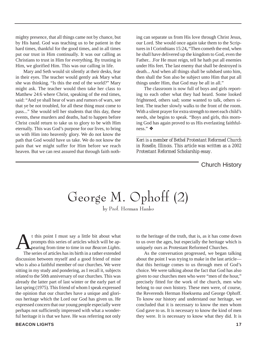mighty presence, that all things came not by chance, but by His hand. God was teaching us to be patient in the hard times, thankful for the good times, and in all times put our trust in Him continually. It was our calling as Christians to trust in Him for everything. By trusting in Him, we glorified Him. This was our calling in life.

Mary and Seth would sit silently at their desks, fear in their eyes. The teacher would gently ask Mary what she was thinking. "Is this the end of the world?" Mary might ask. The teacher would then take her class to Matthew 24:6 where Christ, speaking of the end times, said: "And ye shall hear of wars and rumors of wars, see that ye be not troubled, for all these thing must come to pass..." She would tell her students that this day, these events, these murders and deaths, had to happen before Christ could return to take us to glory to be with Him eternally. This was God's purpose for our lives, to bring us with Him into heavenly glory. We do not know the path that God would have us take. We do not know the pain that we might suffer for Him before we reach heaven. But we can rest assured that through faith nothing can separate us from His love through Christ Jesus, our Lord. She would once again take them to the Scriptures in I Corinthians 15:24**,** "Then cometh the end, when he shall have delivered up the kingdom to God, even the Father.. .For He must reign, tell he hath put all enemies under His feet. The last enemy that shall be destroyed is death... And when all things shall be subdued unto him, then shall the Son also be subject unto Him that put all things under Him, that God may be all in all."

The classroom is now full of boys and girls reporting to each other what they had heard. Some looked frightened, others sad; some wanted to talk, others silent. The teacher slowly walks to the front of the room. With a silent prayer for extra strength to meet each child's needs, she begins to speak. "Boys and girls, this morning God has again proved to us His everlasting faithfulness." ❖

*Keri is a member of Bethel Protestant Reformed Church in Roselle, Illinois. This article was written as a 2002 Protestant Reformed Scholarship essay.*

*\_\_\_\_\_\_\_\_\_\_\_\_\_\_\_\_\_\_\_\_\_\_\_\_\_\_\_\_\_\_\_\_\_\_\_\_\_\_\_\_\_\_\_\_\_\_\_\_\_\_\_\_\_\_\_\_\_\_\_\_\_\_\_\_\_\_\_\_\_\_*

Church History

George M. Ophoff (2)

by Prof. Herman Hanko

t this point I must say a little bit about what<br>prompts this series of articles which will be ap-<br>pearing from time to time in our *Beacon Lights*.<br>The series of articles has its birth in a rather extended prompts this series of articles which will be appearing from time to time in our *Beacon Lights*. The series of articles has its birth in a rather extended discussion between myself and a good friend of mine who is also a faithful member of our churches. We were sitting in my study and pondering, as I recall it, subjects related to the 50th anniversary of our churches. This was already the latter part of last winter or the early part of last spring (1975). This friend of whom I speak expressed the opinion that our churches have a unique and glorious heritage which the Lord our God has given us. He expressed concern that our young people especially were perhaps not sufficiently impressed with what a wonderful heritage it is that we have. He was referring not only

**BEACON LIGHTS 17**

to the heritage of the truth, that is, as it has come down to us over the ages, but especially the heritage which is uniquely ours as Protestant Reformed Churches.

As the conversation progressed, we began talking about the point I was trying to make in the last article that this heritage comes to us through men of God's choice. We were talking about the fact that God has also given to our churches men who were "men of the hour," precisely fitted for the work of the church, men who belong to our own history. These men were, of course, the Reverends Herman Hoeksema and George Ophoff. To know our history and understand our heritage, we concluded that it is necessary to know the men whom God gave to us. It is necessary to know the kind of men they were. It is necessary to know what they did. It is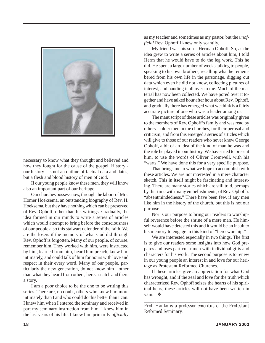

necessary to know what they thought and believed and how they fought for the cause of the gospel. History our history - is not an outline of factual data and dates, but a flesh and blood history of men of God.

If our young people know these men, they will know also an important part of our heritage.

Our churches possess now, through the labors of Mrs. Homer Hoeksema, an outstanding biography of Rev. H. Hoeksema, but they have nothing which can be preserved of Rev. Ophoff, other than his writings. Gradually, the idea formed in our minds to write a series of articles which would attempt to bring before the consciousness of our people also this stalwart defender of the faith. We are the losers if the memory of what God did through Rev. Ophoff is forgotten. Many of our people, of course, remember him. They worked with him, were instructed by him, learned from him, heard him preach, knew him intimately, and could talk of him for hours with love and respect in their every word. Many of our people, particularly the new generation, do not know him - other than what they heard from others, here a snatch and there a story.

I am a poor choice to be the one to be writing this series. There are, no doubt, others who knew him more intimately than I and who could do this better than I can. I knew him when I entered the seminary and received in part my seminary instruction from him. I knew him in the last years of his life. I knew him primarily *officially*

as my teacher and sometimes as my pastor, but the *unofficial* Rev. Ophoff I knew only scantily.

My friend was his son—Herman Ophoff. So, as the idea grew to write a series of articles about him, I told Herm that he would have to do the leg work. This he did. He spent a large number of weeks talking to people, speaking to his own brothers, recalling what he remembered from his own life in the parsonage, digging out data which even he did not know, collecting pictures of interest, and handing it all over to me. Much of the material has now been collected. We have pored over it together and have talked hour after hour about Rev. Ophoff, and gradually there has emerged what we think is a fairly accurate picture of one who was a leader among us.

The manuscript of these articles was originally given to the members of Rev. Ophoff's family and was read by others—older men in the churches, for their perusal and criticism; and from this emerged a series of articles which will give to those of our readers who never knew George Ophoff, a bit of an idea of the kind of man he was and the role he played in our history. We have tried to present him, to use the words of Oliver Cromwell, with his "warts." We have done this for a very specific purpose.

That brings me to what we hope to accomplish with these articles. We are not interested in a mere character sketch. This in itself might be fascinating and interesting. There are many stories which are still told, perhaps by this time with many embellishments, of Rev. Ophoff's "absentmindedness." There have been few, if any men like him in the history of the church, but this is not our purpose.

Nor is our purpose to bring our readers to worshipful reverence before the shrine of a mere man. He himself would have detested this and it would be an insult to his memory to engage in this kind of "hero-worship."

We are interested especially in two things. The first is to give our readers some insights into how God prepares and uses particular men with individual gifts and characters for his work. The second purpose is to renew in our young people an interest in and love for our heritage as Protestant Reformed Churches.

If these articles give an appreciation for what God has wrought, and if the zeal and love for the truth which characterized Rev. Ophoff seizes the hearts of his spiritual heirs, these articles will not have been written in vain. ❖

*\_\_\_\_\_\_\_\_\_\_\_\_\_\_\_\_\_\_\_\_\_\_\_\_\_\_\_\_\_\_\_\_\_\_\_\_\_\_\_\_\_\_\_\_\_\_\_\_\_\_ Prof. Hanko is a professor emeritus of the Protestant Reformed Seminary.*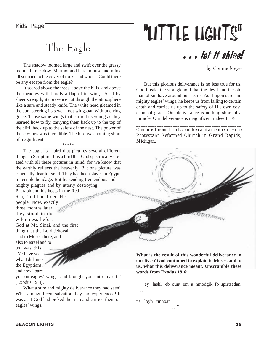### The Eagle

The shadow loomed large and swift over the grassy mountain meadow. Marmot and hare, mouse and mink all scurried to the cover of rocks and woods. Could there be any escape from the eagle?

It soared above the trees, above the hills, and above the meadow with hardly a flap of its wings. As if by sheer strength, its presence cut through the atmosphere like a sure and steady knife. The white head gleamed in the sun, steering its seven-foot wingspan with unerring grace. Those same wings that carried its young as they learned how to fly, carrying them back up to the top of the cliff, back up to the safety of the nest. The power of those wings was incredible. The bird was nothing short of magnificent.

\*\*\*\*\*

The eagle is a bird that pictures several different things in Scripture. It is a bird that God specifically created with all these pictures in mind, for we know that the earthly reflects the heavenly. But one picture was especially dear to Israel. They had been slaves in Egypt, in terrible bondage. But by sending tremendous and

mighty plagues and by utterly destroying<br>Pharaoh and his hosts in the Red<br>Sea, God had freed His<br>people M Pharaoh and his hosts in the Red Sea, God had freed His people. Now, exactly three months later, they stood in the wilderness before God at Mt. Sinai, and the first thing that the Lord Jehovah said to Moses there, and also to Israel and to us, was this: "Ye have seen what I did unto the Egyptians, and how I bare

you on eagles' wings, and brought you unto myself," (Exodus 19:4).

What a sure and mighty deliverance they had seen! What a magnificent salvation they had experienced! It was as if God had picked them up and carried them on eagles' wings.

# Kids' Page **The Contract Contract Contract Contract Contract Contract Contract Contract Contract Contract Contract Contract Contract Contract Contract Contract Contract Contract Contract Contract Contract Contract Contract**

. . . let it shine!

by Connie Meyer

But this glorious deliverance is no less true for us. God breaks the stranglehold that the devil and the old man of sin have around our hearts. As if upon sure and mighty eagles' wings, he keeps us from falling to certain death and carries us up to the safety of His own covenant of grace. Our deliverance is nothing short of a miracle. Our deliverance is magnificent indeed! ❖

*Connie is the mother of 5 children and a member of Hope Protestant Reformed Church in Grand Rapids, Michigan.*

*\_\_\_\_\_\_\_\_\_\_\_\_\_\_\_\_\_\_\_\_\_\_\_\_\_\_\_\_\_\_\_\_\_\_\_\_\_\_\_\_\_\_\_\_\_\_*



**What is the result of this wonderful deliverance in our lives? God continued to explain to Moses, and to us, what this deliverance meant. Unscramble these words from Exodus 19:6:**

 ey lashl eb ount em a nmodgik fo spirtsedan "…\_\_ \_\_\_\_\_ \_\_ \_\_\_\_ \_\_ \_ \_\_\_\_\_\_\_ \_\_ \_\_\_\_\_\_\_,

na loyh tinnoat

\_\_ \_\_\_\_ \_\_\_\_\_\_\_…"